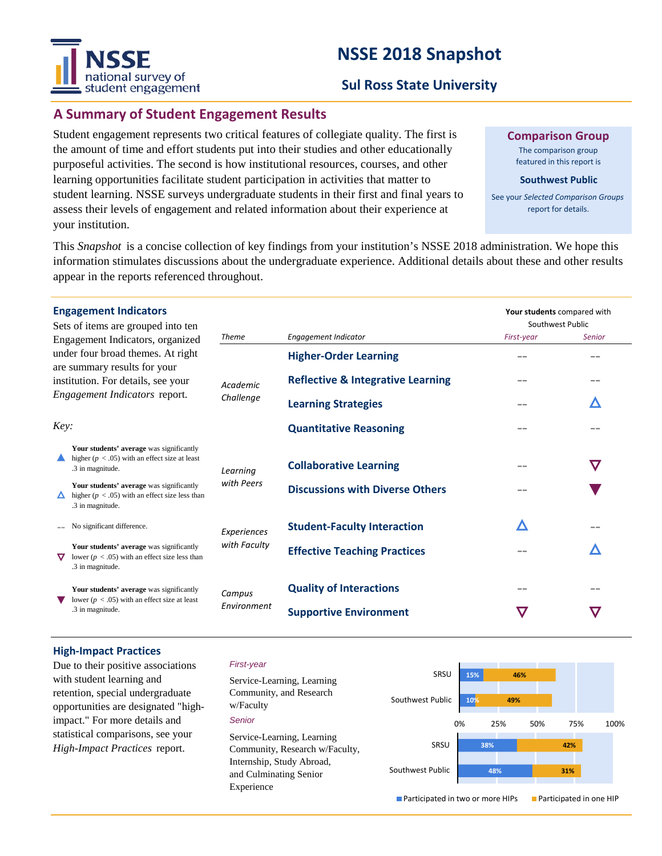# **NSSE 2018 Snapshot**



## **Sul Ross State University**

# **A Summary of Student Engagement Results**

Student engagement represents two critical features of collegiate quality. The first is the amount of time and effort students put into their studies and other educationally purposeful activities. The second is how institutional resources, courses, and other learning opportunities facilitate student participation in activities that matter to student learning. NSSE surveys undergraduate students in their first and final years to assess their levels of engagement and related information about their experience at your institution.

**Comparison Group**

The comparison group featured in this report is

#### **Southwest Public**

See your *Selected Comparison Groups*  report for details.

**Your students** compared with

This *Snapshot* is a concise collection of key findings from your institution's NSSE 2018 administration. We hope this information stimulates discussions about the undergraduate experience. Additional details about these and other results appear in the reports referenced throughout.

### **Engagement Indicators**

| Sets of items are grouped into ten                                                                                                       |                                                                                                                    |                       |                                              | Southwest Public |               |
|------------------------------------------------------------------------------------------------------------------------------------------|--------------------------------------------------------------------------------------------------------------------|-----------------------|----------------------------------------------|------------------|---------------|
| Engagement Indicators, organized                                                                                                         |                                                                                                                    | <b>Theme</b>          | Engagement Indicator                         | First-year       | <b>Senior</b> |
| under four broad themes. At right<br>are summary results for your<br>institution. For details, see your<br>Engagement Indicators report. |                                                                                                                    | Academic<br>Challenge | <b>Higher-Order Learning</b>                 |                  |               |
|                                                                                                                                          |                                                                                                                    |                       | <b>Reflective &amp; Integrative Learning</b> |                  |               |
|                                                                                                                                          |                                                                                                                    |                       | <b>Learning Strategies</b>                   |                  |               |
| Key:                                                                                                                                     |                                                                                                                    |                       | <b>Quantitative Reasoning</b>                | $- -$            |               |
|                                                                                                                                          | Your students' average was significantly<br>higher ( $p < .05$ ) with an effect size at least<br>.3 in magnitude.  | Learning              | <b>Collaborative Learning</b>                |                  | $\bm{\nabla}$ |
|                                                                                                                                          | Your students' average was significantly<br>higher ( $p < .05$ ) with an effect size less than<br>.3 in magnitude. | with Peers            | <b>Discussions with Diverse Others</b>       |                  |               |
|                                                                                                                                          | No significant difference.                                                                                         | Experiences           | <b>Student-Faculty Interaction</b>           | Λ                |               |
| ▽                                                                                                                                        | Your students' average was significantly<br>lower ( $p < .05$ ) with an effect size less than<br>.3 in magnitude.  | with Faculty          | <b>Effective Teaching Practices</b>          |                  | Δ             |
|                                                                                                                                          | Your students' average was significantly<br>lower ( $p < .05$ ) with an effect size at least<br>.3 in magnitude.   | Campus<br>Environment | <b>Quality of Interactions</b>               | $=$ $-$          |               |
|                                                                                                                                          |                                                                                                                    |                       | <b>Supportive Environment</b>                | $\bm{\nabla}$    | $\bm{\nabla}$ |
|                                                                                                                                          |                                                                                                                    |                       |                                              |                  |               |

#### **High-Impact Practices**

Due to their positive associations with student learning and retention, special undergraduate opportunities are designated "highimpact." For more details and statistical comparisons, see your *High-Impact Practices* report.

#### *First-year*

*Senior* Service-Learning, Learning Community, and Research w/Faculty Service-Learning, Learning Community, Research w/Faculty, Internship, Study Abroad, and Culminating Senior Experience



**Participated in two or more HIPs Participated in one HIP**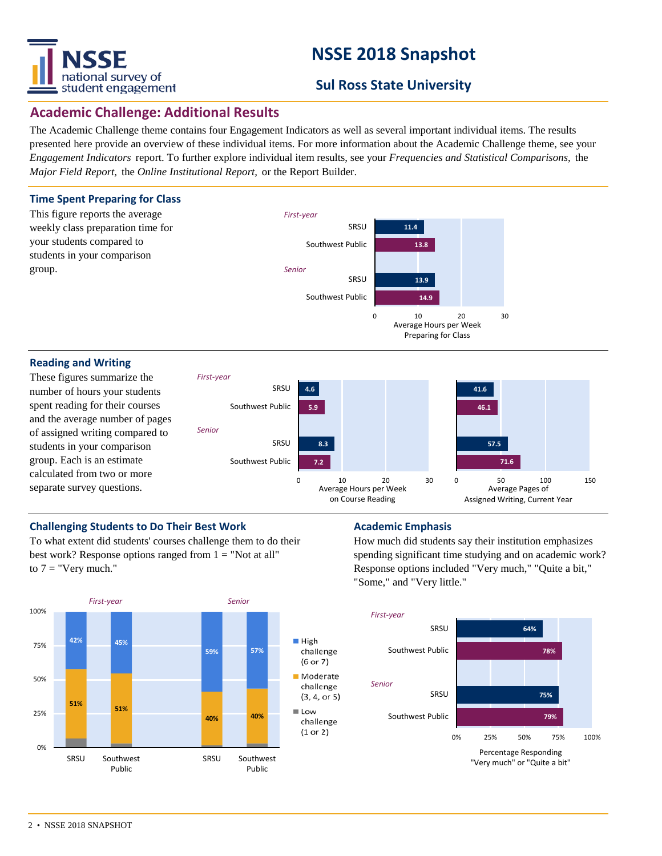

# **NSSE 2018 Snapshot**

# **Sul Ross State University**

## **Academic Challenge: Additional Results**

The Academic Challenge theme contains four Engagement Indicators as well as several important individual items. The results presented here provide an overview of these individual items. For more information about the Academic Challenge theme, see your *Engagement Indicators* report. To further explore individual item results, see your *Frequencies and Statistical Comparisons,* the *Major Field Report,* the *Online Institutional Report,* or the Report Builder.



#### **Reading and Writing**

These figures summarize the number of hours your students spent reading for their courses and the average number of pages of assigned writing compared to students in your comparison group. Each is an estimate calculated from two or more separate survey questions.



### **Challenging Students to Do Their Best Work <b>Academic Emphasis**

To what extent did students' courses challenge them to do their best work? Response options ranged from  $1 = "Not at all"$ to  $7 =$  "Very much."



How much did students say their institution emphasizes spending significant time studying and on academic work? Response options included "Very much," "Quite a bit," "Some," and "Very little."

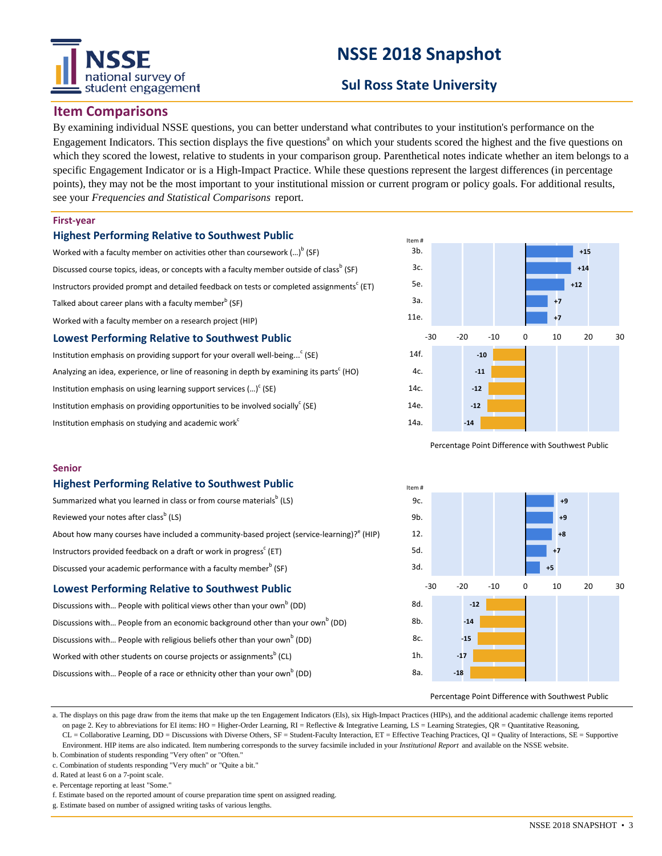# national survey of student engagement

# **NSSE 2018 Snapshot**

# **Sul Ross State University**

### **Item Comparisons**

By examining individual NSSE questions, you can better understand what contributes to your institution's performance on the Engagement Indicators. This section displays the five questions<sup>a</sup> on which your students scored the highest and the five questions on which they scored the lowest, relative to students in your comparison group. Parenthetical notes indicate whether an item belongs to a specific Engagement Indicator or is a High-Impact Practice. While these questions represent the largest differences (in percentage points), they may not be the most important to your institutional mission or current program or policy goals. For additional results, see your *Frequencies and Statistical Comparisons* report.

#### **First-year**

#### **Highest Performing Relative to Southwest Public**

Worked with a faculty member on activities other than coursework (...) $^{\rm b}$  (SF) Discussed course topics, ideas, or concepts with a faculty member outside of class<sup>b</sup> (SF) Instructors provided prompt and detailed feedback on tests or completed assignments $^{\rm c}$  (ET) Talked about career plans with a faculty member $^{\rm b}$  (SF) Worked with a faculty member on a research project (HIP) **Lowest Performing Relative to Southwest Public** Institution emphasis on providing support for your overall well-being...<sup>c</sup> (SE)

Analyzing an idea, experience, or line of reasoning in depth by examining its parts<sup>c</sup> (HO) Institution emphasis on using learning support services  $(...)^c$  (SE) Institution emphasis on providing opportunities to be involved socially<sup>c</sup> (SE) Institution emphasis on studying and academic work $c^c$ 



Percentage Point Difference with Southwest Public

#### **Senior**

#### **Highest Performing Relative to Southwest Public**

| Summarized what you learned in class or from course materials <sup>b</sup> (LS)          |  |  |  |  |  |
|------------------------------------------------------------------------------------------|--|--|--|--|--|
| Reviewed your notes after class <sup>b</sup> (LS)                                        |  |  |  |  |  |
| About how many courses have included a community-based project (service-learning)? (HIP) |  |  |  |  |  |
| Instructors provided feedback on a draft or work in progress <sup>c</sup> (ET)           |  |  |  |  |  |
| Discussed your academic performance with a faculty member <sup>b</sup> (SF)              |  |  |  |  |  |

#### **Lowest Performing Relative to Southwest Public**

| Discussions with People with political views other than your own <sup>b</sup> (DD)        |
|-------------------------------------------------------------------------------------------|
| Discussions with People from an economic background other than your own <sup>b</sup> (DD) |
| Discussions with People with religious beliefs other than your own <sup>b</sup> (DD)      |
| Worked with other students on course projects or assignments <sup>b</sup> (CL)            |
| Discussions with People of a race or ethnicity other than your own <sup>b</sup> (DD)      |



Percentage Point Difference with Southwest Public

a. The displays on this page draw from the items that make up the ten Engagement Indicators (EIs), six High-Impact Practices (HIPs), and the additional academic challenge items reported on page 2. Key to abbreviations for EI items: HO = Higher-Order Learning, RI = Reflective & Integrative Learning, LS = Learning Strategies, QR = Quantitative Reasoning, CL = Collaborative Learning, DD = Discussions with Diverse Others, SF = Student-Faculty Interaction, ET = Effective Teaching Practices, QI = Quality of Interactions, SE = Supportive Environment. HIP items are also indicated. Item numbering corresponds to the survey facsimile included in your *Institutional Report* and available on the NSSE website.

- b. Combination of students responding "Very often" or "Often."
- c. Combination of students responding "Very much" or "Quite a bit."

d. Rated at least 6 on a 7-point scale.

e. Percentage reporting at least "Some."

- f. Estimate based on the reported amount of course preparation time spent on assigned reading.
- g. Estimate based on number of assigned writing tasks of various lengths.